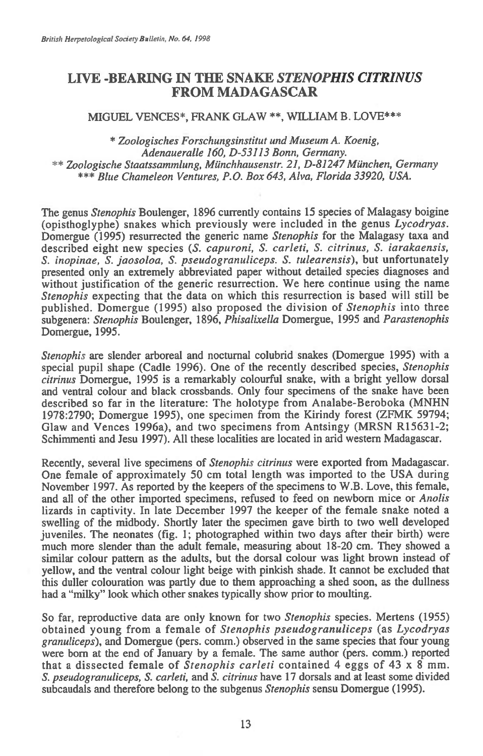## **LIVE -BEARING IN THE SNAKE** *STENOPHIS CITRINUS*  **FROM MADAGASCAR**

## MIGUEL VENCES\*, FRANK GLAW \*\*, WILLIAM B. LOVE\*\*\*

*\* Zoologisches Forschungsinstitut and Museum A. Koenig, Adenaueralle 160, D-53113 Bonn, Germany. \*\* Zoologische Staatssammlung, Miinchhausenstr. 21, D-81247 Munchen, Germany \*\*\* Blue Chameleon Ventures, P.O. Box 643, Alva, Florida 33920, USA.* 

The genus *Stenophis* Boulenger, 1896 currently contains 15 species of Malagasy boigine (opisthoglyphe) snakes which previously were included in the genus *Lycodryas.*  Domergue (1995) resurrected the generic name *Stenophis* for the Malagasy taxa and described eight new species *(S. capuroni, S. carleti, S. citrinus, S. iarakaensis, S. inopinae, S. jaosoloa, S. pseudogranuliceps. S. tulearensis),* but unfortunately presented only an extremely abbreviated paper without detailed species diagnoses and without justification of the generic resurrection. We here continue using the *name Stenophis* expecting that the data on which this resurrection is based will still be published. Domergue (1995) also proposed the division of *Stenophis* into three subgenera: *Stenophis* Boulenger, 1896, *Phisalixella* Domergue, 1995 and *Parastenophis*  Domergue, 1995.

*Stenophis* are slender arboreal and nocturnal colubrid snakes (Domergue 1995) with a special pupil shape (Cadle 1996). One of the recently described species, *Stenophis citrinus* Domergue, 1995 is a remarkably colourful snake, with a bright yellow dorsal and ventral colour and black crossbands. Only four specimens of the snake have been described so far in the literature: The holotype from Analabe-Beroboka (MNHN 1978:2790; Domergue 1995), one specimen from the Kirindy forest (ZFMK 59794; Glaw and Vences 1996a), and two specimens from Antsingy (MRSN R15631-2; Schimmenti and Jesu 1997). All these localities are located in arid western Madagascar.

Recently, several live specimens of *Stenophis citrinus* were exported from Madagascar. One female of approximately 50 cm total length was imported to the USA during November 1997. As reported by the keepers of the specimens to W.B. Love, this female, and all of the other imported specimens, refused to feed on newborn mice or *Anolis*  lizards in captivity. In late December 1997 the keeper of the female snake noted a swelling of the midbody. Shortly later the specimen gave birth to two well developed juveniles. The neonates (fig. 1; photographed within two days after their birth) were much more slender than the adult female, measuring about 18-20 cm. They showed a similar colour pattern as the adults, but the dorsal colour was light brown instead of yellow, and the ventral colour light beige with pinkish shade. It cannot be excluded that this duller colouration was partly due to them approaching a shed soon, as the dullness had a "milky" look which other snakes typically show prior to moulting.

So far, reproductive data are only known for two *Stenophis* species. Mertens (1955) obtained young from a female of *Stenophis pseudogranuliceps (as Lycodryas granuliceps),* and Domergue (pers. comm.) observed in the same species that four young were born at the end of January by a female. The same author (pers. comm.) reported that a dissected female of *Stenophis carleti* contained 4 eggs of 43 x 8 mm. *S. pseudogranuliceps, S. carleti,* and *S. citrinus* have 17 dorsals and at least some divided subcaudals and therefore belong to the subgenus *Stenophis* sensu Domergue (1995).